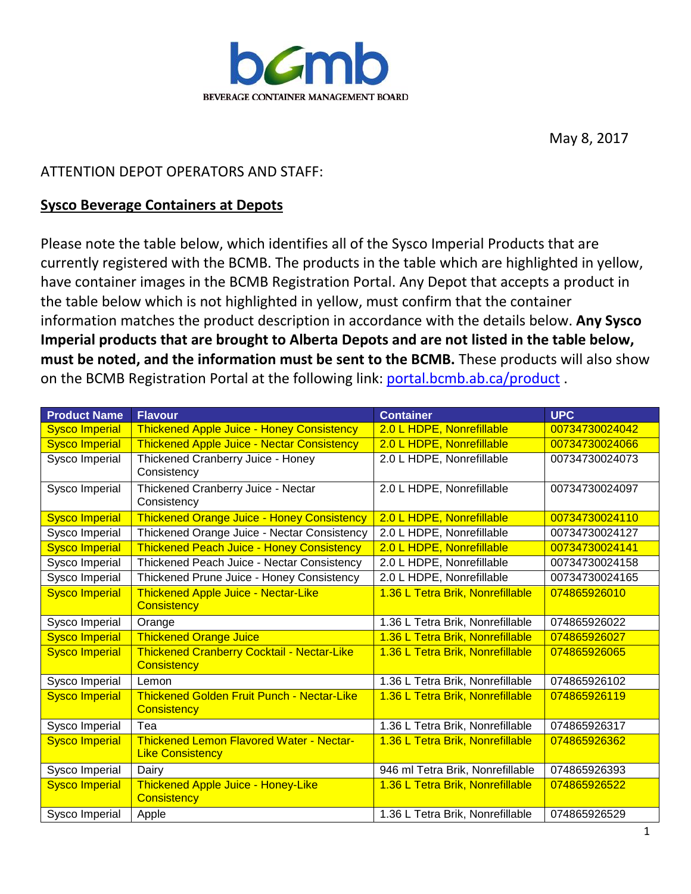

May 8, 2017

## ATTENTION DEPOT OPERATORS AND STAFF:

## **Sysco Beverage Containers at Depots**

Please note the table below, which identifies all of the Sysco Imperial Products that are currently registered with the BCMB. The products in the table which are highlighted in yellow, have container images in the BCMB Registration Portal. Any Depot that accepts a product in the table below which is not highlighted in yellow, must confirm that the container information matches the product description in accordance with the details below. **Any Sysco Imperial products that are brought to Alberta Depots and are not listed in the table below, must be noted, and the information must be sent to the BCMB.** These products will also show on the BCMB Registration Portal at the following link: [portal.bcmb.ab.ca/product](http://portal.bcmb.ab.ca/Product) .

| <b>Product Name</b>   | <b>Flavour</b>                                                             | <b>Container</b>                 | <b>UPC</b>     |
|-----------------------|----------------------------------------------------------------------------|----------------------------------|----------------|
| <b>Sysco Imperial</b> | <b>Thickened Apple Juice - Honey Consistency</b>                           | 2.0 L HDPE, Nonrefillable        | 00734730024042 |
| <b>Sysco Imperial</b> | <b>Thickened Apple Juice - Nectar Consistency</b>                          | 2.0 L HDPE, Nonrefillable        | 00734730024066 |
| Sysco Imperial        | Thickened Cranberry Juice - Honey<br>Consistency                           | 2.0 L HDPE, Nonrefillable        | 00734730024073 |
| Sysco Imperial        | Thickened Cranberry Juice - Nectar<br>Consistency                          | 2.0 L HDPE, Nonrefillable        | 00734730024097 |
| <b>Sysco Imperial</b> | <b>Thickened Orange Juice - Honey Consistency</b>                          | 2.0 L HDPE, Nonrefillable        | 00734730024110 |
| Sysco Imperial        | Thickened Orange Juice - Nectar Consistency                                | 2.0 L HDPE, Nonrefillable        | 00734730024127 |
| <b>Sysco Imperial</b> | <b>Thickened Peach Juice - Honey Consistency</b>                           | 2.0 L HDPE, Nonrefillable        | 00734730024141 |
| Sysco Imperial        | Thickened Peach Juice - Nectar Consistency                                 | 2.0 L HDPE, Nonrefillable        | 00734730024158 |
| Sysco Imperial        | Thickened Prune Juice - Honey Consistency                                  | 2.0 L HDPE, Nonrefillable        | 00734730024165 |
| <b>Sysco Imperial</b> | <b>Thickened Apple Juice - Nectar-Like</b><br><b>Consistency</b>           | 1.36 L Tetra Brik, Nonrefillable | 074865926010   |
| Sysco Imperial        | Orange                                                                     | 1.36 L Tetra Brik, Nonrefillable | 074865926022   |
| <b>Sysco Imperial</b> | <b>Thickened Orange Juice</b>                                              | 1.36 L Tetra Brik, Nonrefillable | 074865926027   |
| <b>Sysco Imperial</b> | <b>Thickened Cranberry Cocktail - Nectar-Like</b><br><b>Consistency</b>    | 1.36 L Tetra Brik, Nonrefillable | 074865926065   |
| Sysco Imperial        | Lemon                                                                      | 1.36 L Tetra Brik, Nonrefillable | 074865926102   |
| <b>Sysco Imperial</b> | Thickened Golden Fruit Punch - Nectar-Like<br><b>Consistency</b>           | 1.36 L Tetra Brik, Nonrefillable | 074865926119   |
| Sysco Imperial        | Tea                                                                        | 1.36 L Tetra Brik, Nonrefillable | 074865926317   |
| <b>Sysco Imperial</b> | <b>Thickened Lemon Flavored Water - Nectar-</b><br><b>Like Consistency</b> | 1.36 L Tetra Brik, Nonrefillable | 074865926362   |
| Sysco Imperial        | Dairy                                                                      | 946 ml Tetra Brik, Nonrefillable | 074865926393   |
| <b>Sysco Imperial</b> | Thickened Apple Juice - Honey-Like<br><b>Consistency</b>                   | 1.36 L Tetra Brik, Nonrefillable | 074865926522   |
| Sysco Imperial        | Apple                                                                      | 1.36 L Tetra Brik, Nonrefillable | 074865926529   |